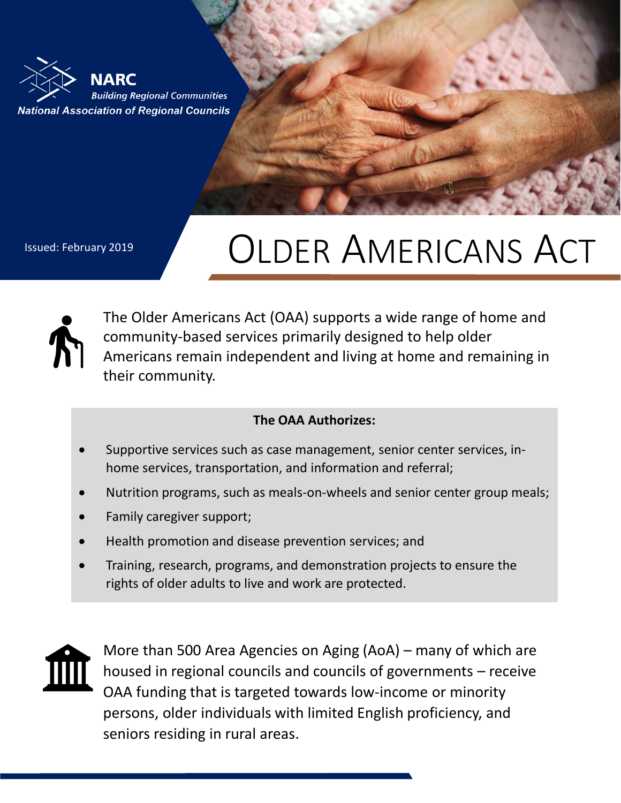

## Issued: February 2019 | **OLDER AMERICANS ACT**



The Older Americans Act (OAA) supports a wide range of home and community-based services primarily designed to help older Americans remain independent and living at home and remaining in their community.

## **The OAA Authorizes:**

- Supportive services such as case management, senior center services, inhome services, transportation, and information and referral;
- Nutrition programs, such as meals-on-wheels and senior center group meals;
- Family caregiver support;
- Health promotion and disease prevention services; and
- Training, research, programs, and demonstration projects to ensure the rights of older adults to live and work are protected.



More than 500 Area Agencies on Aging (AoA) – many of which are housed in regional councils and councils of governments – receive OAA funding that is targeted towards low-income or minority persons, older individuals with limited English proficiency, and seniors residing in rural areas.